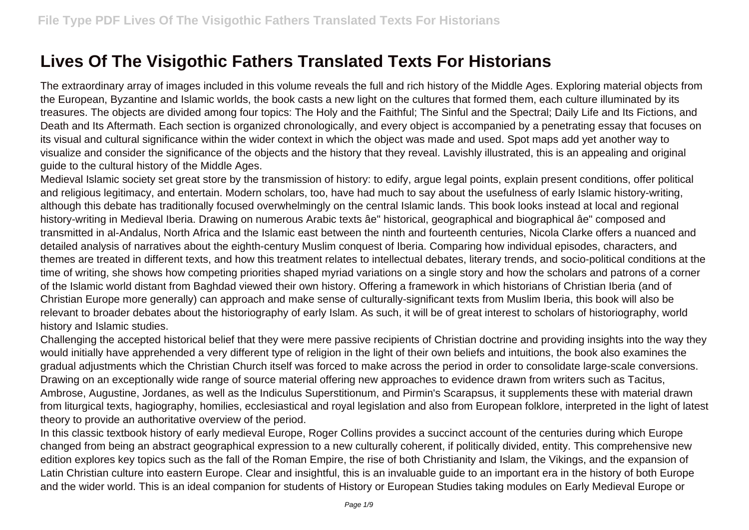## **Lives Of The Visigothic Fathers Translated Texts For Historians**

The extraordinary array of images included in this volume reveals the full and rich history of the Middle Ages. Exploring material objects from the European, Byzantine and Islamic worlds, the book casts a new light on the cultures that formed them, each culture illuminated by its treasures. The objects are divided among four topics: The Holy and the Faithful; The Sinful and the Spectral; Daily Life and Its Fictions, and Death and Its Aftermath. Each section is organized chronologically, and every object is accompanied by a penetrating essay that focuses on its visual and cultural significance within the wider context in which the object was made and used. Spot maps add yet another way to visualize and consider the significance of the objects and the history that they reveal. Lavishly illustrated, this is an appealing and original guide to the cultural history of the Middle Ages.

Medieval Islamic society set great store by the transmission of history: to edify, argue legal points, explain present conditions, offer political and religious legitimacy, and entertain. Modern scholars, too, have had much to say about the usefulness of early Islamic history-writing, although this debate has traditionally focused overwhelmingly on the central Islamic lands. This book looks instead at local and regional history-writing in Medieval Iberia. Drawing on numerous Arabic texts âe" historical, geographical and biographical âe" composed and transmitted in al-Andalus, North Africa and the Islamic east between the ninth and fourteenth centuries, Nicola Clarke offers a nuanced and detailed analysis of narratives about the eighth-century Muslim conquest of Iberia. Comparing how individual episodes, characters, and themes are treated in different texts, and how this treatment relates to intellectual debates, literary trends, and socio-political conditions at the time of writing, she shows how competing priorities shaped myriad variations on a single story and how the scholars and patrons of a corner of the Islamic world distant from Baghdad viewed their own history. Offering a framework in which historians of Christian Iberia (and of Christian Europe more generally) can approach and make sense of culturally-significant texts from Muslim Iberia, this book will also be relevant to broader debates about the historiography of early Islam. As such, it will be of great interest to scholars of historiography, world history and Islamic studies.

Challenging the accepted historical belief that they were mere passive recipients of Christian doctrine and providing insights into the way they would initially have apprehended a very different type of religion in the light of their own beliefs and intuitions, the book also examines the gradual adjustments which the Christian Church itself was forced to make across the period in order to consolidate large-scale conversions. Drawing on an exceptionally wide range of source material offering new approaches to evidence drawn from writers such as Tacitus, Ambrose, Augustine, Jordanes, as well as the Indiculus Superstitionum, and Pirmin's Scarapsus, it supplements these with material drawn from liturgical texts, hagiography, homilies, ecclesiastical and royal legislation and also from European folklore, interpreted in the light of latest theory to provide an authoritative overview of the period.

In this classic textbook history of early medieval Europe, Roger Collins provides a succinct account of the centuries during which Europe changed from being an abstract geographical expression to a new culturally coherent, if politically divided, entity. This comprehensive new edition explores key topics such as the fall of the Roman Empire, the rise of both Christianity and Islam, the Vikings, and the expansion of Latin Christian culture into eastern Europe. Clear and insightful, this is an invaluable guide to an important era in the history of both Europe and the wider world. This is an ideal companion for students of History or European Studies taking modules on Early Medieval Europe or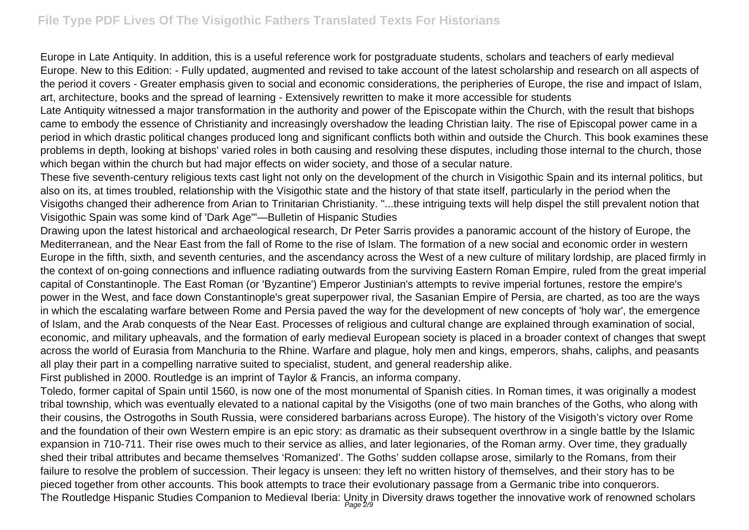Europe in Late Antiquity. In addition, this is a useful reference work for postgraduate students, scholars and teachers of early medieval Europe. New to this Edition: - Fully updated, augmented and revised to take account of the latest scholarship and research on all aspects of the period it covers - Greater emphasis given to social and economic considerations, the peripheries of Europe, the rise and impact of Islam, art, architecture, books and the spread of learning - Extensively rewritten to make it more accessible for students

Late Antiquity witnessed a major transformation in the authority and power of the Episcopate within the Church, with the result that bishops came to embody the essence of Christianity and increasingly overshadow the leading Christian laity. The rise of Episcopal power came in a period in which drastic political changes produced long and significant conflicts both within and outside the Church. This book examines these problems in depth, looking at bishops' varied roles in both causing and resolving these disputes, including those internal to the church, those which began within the church but had major effects on wider society, and those of a secular nature.

These five seventh-century religious texts cast light not only on the development of the church in Visigothic Spain and its internal politics, but also on its, at times troubled, relationship with the Visigothic state and the history of that state itself, particularly in the period when the Visigoths changed their adherence from Arian to Trinitarian Christianity. "...these intriguing texts will help dispel the still prevalent notion that Visigothic Spain was some kind of 'Dark Age'"—Bulletin of Hispanic Studies

Drawing upon the latest historical and archaeological research, Dr Peter Sarris provides a panoramic account of the history of Europe, the Mediterranean, and the Near East from the fall of Rome to the rise of Islam. The formation of a new social and economic order in western Europe in the fifth, sixth, and seventh centuries, and the ascendancy across the West of a new culture of military lordship, are placed firmly in the context of on-going connections and influence radiating outwards from the surviving Eastern Roman Empire, ruled from the great imperial capital of Constantinople. The East Roman (or 'Byzantine') Emperor Justinian's attempts to revive imperial fortunes, restore the empire's power in the West, and face down Constantinople's great superpower rival, the Sasanian Empire of Persia, are charted, as too are the ways in which the escalating warfare between Rome and Persia paved the way for the development of new concepts of 'holy war', the emergence of Islam, and the Arab conquests of the Near East. Processes of religious and cultural change are explained through examination of social, economic, and military upheavals, and the formation of early medieval European society is placed in a broader context of changes that swept across the world of Eurasia from Manchuria to the Rhine. Warfare and plague, holy men and kings, emperors, shahs, caliphs, and peasants all play their part in a compelling narrative suited to specialist, student, and general readership alike.

First published in 2000. Routledge is an imprint of Taylor & Francis, an informa company.

Toledo, former capital of Spain until 1560, is now one of the most monumental of Spanish cities. In Roman times, it was originally a modest tribal township, which was eventually elevated to a national capital by the Visigoths (one of two main branches of the Goths, who along with their cousins, the Ostrogoths in South Russia, were considered barbarians across Europe). The history of the Visigoth's victory over Rome and the foundation of their own Western empire is an epic story: as dramatic as their subsequent overthrow in a single battle by the Islamic expansion in 710-711. Their rise owes much to their service as allies, and later legionaries, of the Roman army. Over time, they gradually shed their tribal attributes and became themselves 'Romanized'. The Goths' sudden collapse arose, similarly to the Romans, from their failure to resolve the problem of succession. Their legacy is unseen: they left no written history of themselves, and their story has to be pieced together from other accounts. This book attempts to trace their evolutionary passage from a Germanic tribe into conquerors. The Routledge Hispanic Studies Companion to Medieval Iberia: Unity in Diversity draws together the innovative work of renowned scholars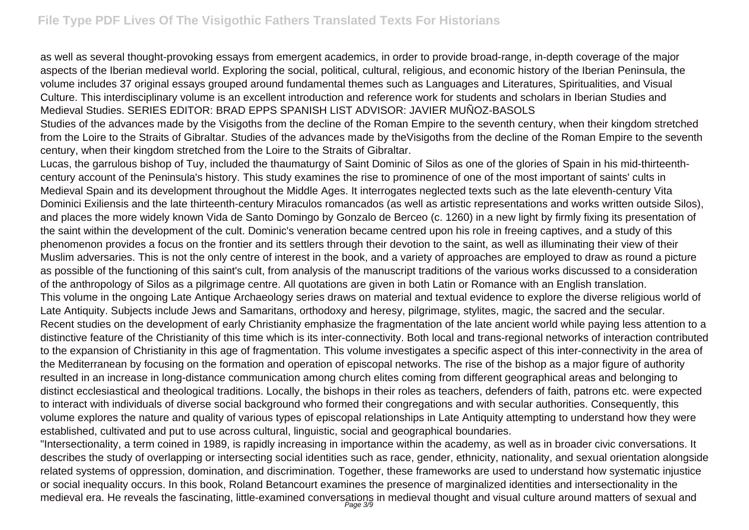as well as several thought-provoking essays from emergent academics, in order to provide broad-range, in-depth coverage of the major aspects of the Iberian medieval world. Exploring the social, political, cultural, religious, and economic history of the Iberian Peninsula, the volume includes 37 original essays grouped around fundamental themes such as Languages and Literatures, Spiritualities, and Visual Culture. This interdisciplinary volume is an excellent introduction and reference work for students and scholars in Iberian Studies and Medieval Studies. SERIES EDITOR: BRAD EPPS SPANISH LIST ADVISOR: JAVIER MUÑOZ-BASOLS

Studies of the advances made by the Visigoths from the decline of the Roman Empire to the seventh century, when their kingdom stretched from the Loire to the Straits of Gibraltar. Studies of the advances made by theVisigoths from the decline of the Roman Empire to the seventh century, when their kingdom stretched from the Loire to the Straits of Gibraltar.

Lucas, the garrulous bishop of Tuy, included the thaumaturgy of Saint Dominic of Silos as one of the glories of Spain in his mid-thirteenthcentury account of the Peninsula's history. This study examines the rise to prominence of one of the most important of saints' cults in Medieval Spain and its development throughout the Middle Ages. It interrogates neglected texts such as the late eleventh-century Vita Dominici Exiliensis and the late thirteenth-century Miraculos romancados (as well as artistic representations and works written outside Silos), and places the more widely known Vida de Santo Domingo by Gonzalo de Berceo (c. 1260) in a new light by firmly fixing its presentation of the saint within the development of the cult. Dominic's veneration became centred upon his role in freeing captives, and a study of this phenomenon provides a focus on the frontier and its settlers through their devotion to the saint, as well as illuminating their view of their Muslim adversaries. This is not the only centre of interest in the book, and a variety of approaches are employed to draw as round a picture as possible of the functioning of this saint's cult, from analysis of the manuscript traditions of the various works discussed to a consideration of the anthropology of Silos as a pilgrimage centre. All quotations are given in both Latin or Romance with an English translation. This volume in the ongoing Late Antique Archaeology series draws on material and textual evidence to explore the diverse religious world of Late Antiquity. Subjects include Jews and Samaritans, orthodoxy and heresy, pilgrimage, stylites, magic, the sacred and the secular. Recent studies on the development of early Christianity emphasize the fragmentation of the late ancient world while paying less attention to a distinctive feature of the Christianity of this time which is its inter-connectivity. Both local and trans-regional networks of interaction contributed to the expansion of Christianity in this age of fragmentation. This volume investigates a specific aspect of this inter-connectivity in the area of the Mediterranean by focusing on the formation and operation of episcopal networks. The rise of the bishop as a major figure of authority resulted in an increase in long-distance communication among church elites coming from different geographical areas and belonging to distinct ecclesiastical and theological traditions. Locally, the bishops in their roles as teachers, defenders of faith, patrons etc. were expected to interact with individuals of diverse social background who formed their congregations and with secular authorities. Consequently, this volume explores the nature and quality of various types of episcopal relationships in Late Antiquity attempting to understand how they were established, cultivated and put to use across cultural, linguistic, social and geographical boundaries.

"Intersectionality, a term coined in 1989, is rapidly increasing in importance within the academy, as well as in broader civic conversations. It describes the study of overlapping or intersecting social identities such as race, gender, ethnicity, nationality, and sexual orientation alongside related systems of oppression, domination, and discrimination. Together, these frameworks are used to understand how systematic injustice or social inequality occurs. In this book, Roland Betancourt examines the presence of marginalized identities and intersectionality in the medieval era. He reveals the fascinating, little-examined conversations in medieval thought and visual culture around matters of sexual and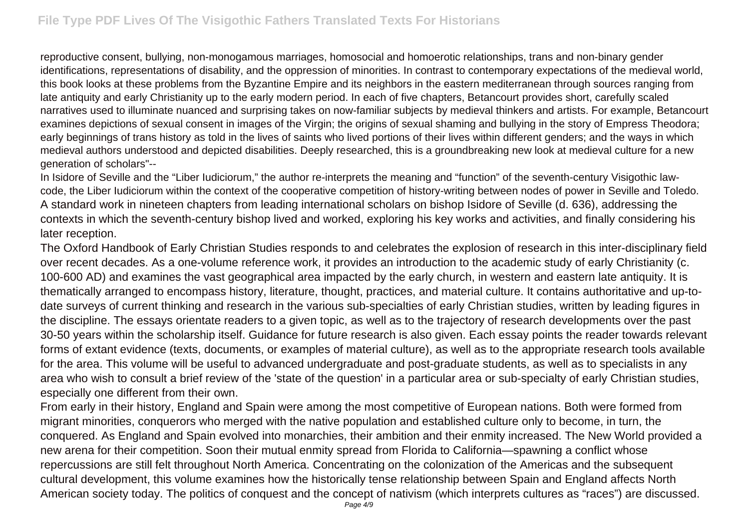reproductive consent, bullying, non-monogamous marriages, homosocial and homoerotic relationships, trans and non-binary gender identifications, representations of disability, and the oppression of minorities. In contrast to contemporary expectations of the medieval world, this book looks at these problems from the Byzantine Empire and its neighbors in the eastern mediterranean through sources ranging from late antiquity and early Christianity up to the early modern period. In each of five chapters, Betancourt provides short, carefully scaled narratives used to illuminate nuanced and surprising takes on now-familiar subjects by medieval thinkers and artists. For example, Betancourt examines depictions of sexual consent in images of the Virgin; the origins of sexual shaming and bullying in the story of Empress Theodora; early beginnings of trans history as told in the lives of saints who lived portions of their lives within different genders; and the ways in which medieval authors understood and depicted disabilities. Deeply researched, this is a groundbreaking new look at medieval culture for a new generation of scholars"--

In Isidore of Seville and the "Liber Iudiciorum," the author re-interprets the meaning and "function" of the seventh-century Visigothic lawcode, the Liber Iudiciorum within the context of the cooperative competition of history-writing between nodes of power in Seville and Toledo. A standard work in nineteen chapters from leading international scholars on bishop Isidore of Seville (d. 636), addressing the contexts in which the seventh-century bishop lived and worked, exploring his key works and activities, and finally considering his later reception.

The Oxford Handbook of Early Christian Studies responds to and celebrates the explosion of research in this inter-disciplinary field over recent decades. As a one-volume reference work, it provides an introduction to the academic study of early Christianity (c. 100-600 AD) and examines the vast geographical area impacted by the early church, in western and eastern late antiquity. It is thematically arranged to encompass history, literature, thought, practices, and material culture. It contains authoritative and up-todate surveys of current thinking and research in the various sub-specialties of early Christian studies, written by leading figures in the discipline. The essays orientate readers to a given topic, as well as to the trajectory of research developments over the past 30-50 years within the scholarship itself. Guidance for future research is also given. Each essay points the reader towards relevant forms of extant evidence (texts, documents, or examples of material culture), as well as to the appropriate research tools available for the area. This volume will be useful to advanced undergraduate and post-graduate students, as well as to specialists in any area who wish to consult a brief review of the 'state of the question' in a particular area or sub-specialty of early Christian studies, especially one different from their own.

From early in their history, England and Spain were among the most competitive of European nations. Both were formed from migrant minorities, conquerors who merged with the native population and established culture only to become, in turn, the conquered. As England and Spain evolved into monarchies, their ambition and their enmity increased. The New World provided a new arena for their competition. Soon their mutual enmity spread from Florida to California—spawning a conflict whose repercussions are still felt throughout North America. Concentrating on the colonization of the Americas and the subsequent cultural development, this volume examines how the historically tense relationship between Spain and England affects North American society today. The politics of conquest and the concept of nativism (which interprets cultures as "races") are discussed.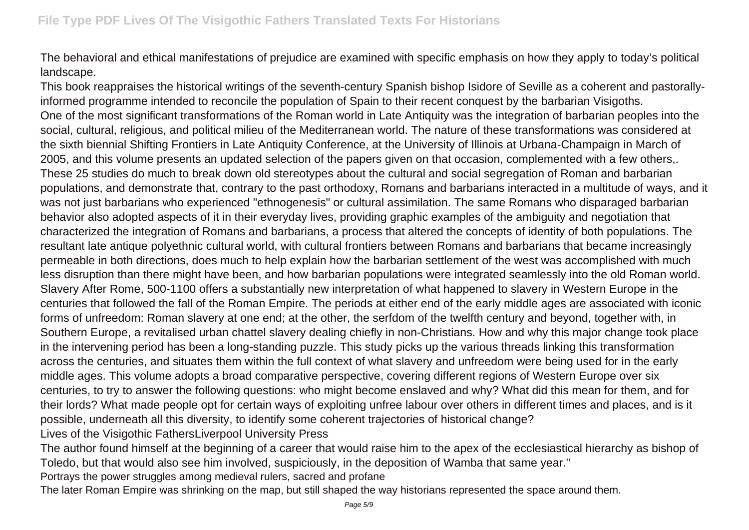The behavioral and ethical manifestations of prejudice are examined with specific emphasis on how they apply to today's political landscape.

This book reappraises the historical writings of the seventh-century Spanish bishop Isidore of Seville as a coherent and pastorallyinformed programme intended to reconcile the population of Spain to their recent conquest by the barbarian Visigoths. One of the most significant transformations of the Roman world in Late Antiquity was the integration of barbarian peoples into the social, cultural, religious, and political milieu of the Mediterranean world. The nature of these transformations was considered at the sixth biennial Shifting Frontiers in Late Antiquity Conference, at the University of Illinois at Urbana-Champaign in March of 2005, and this volume presents an updated selection of the papers given on that occasion, complemented with a few others,. These 25 studies do much to break down old stereotypes about the cultural and social segregation of Roman and barbarian populations, and demonstrate that, contrary to the past orthodoxy, Romans and barbarians interacted in a multitude of ways, and it was not just barbarians who experienced "ethnogenesis" or cultural assimilation. The same Romans who disparaged barbarian behavior also adopted aspects of it in their everyday lives, providing graphic examples of the ambiguity and negotiation that characterized the integration of Romans and barbarians, a process that altered the concepts of identity of both populations. The resultant late antique polyethnic cultural world, with cultural frontiers between Romans and barbarians that became increasingly permeable in both directions, does much to help explain how the barbarian settlement of the west was accomplished with much less disruption than there might have been, and how barbarian populations were integrated seamlessly into the old Roman world. Slavery After Rome, 500-1100 offers a substantially new interpretation of what happened to slavery in Western Europe in the centuries that followed the fall of the Roman Empire. The periods at either end of the early middle ages are associated with iconic forms of unfreedom: Roman slavery at one end; at the other, the serfdom of the twelfth century and beyond, together with, in Southern Europe, a revitalised urban chattel slavery dealing chiefly in non-Christians. How and why this major change took place in the intervening period has been a long-standing puzzle. This study picks up the various threads linking this transformation across the centuries, and situates them within the full context of what slavery and unfreedom were being used for in the early middle ages. This volume adopts a broad comparative perspective, covering different regions of Western Europe over six centuries, to try to answer the following questions: who might become enslaved and why? What did this mean for them, and for their lords? What made people opt for certain ways of exploiting unfree labour over others in different times and places, and is it possible, underneath all this diversity, to identify some coherent trajectories of historical change? Lives of the Visigothic FathersLiverpool University Press

The author found himself at the beginning of a career that would raise him to the apex of the ecclesiastical hierarchy as bishop of Toledo, but that would also see him involved, suspiciously, in the deposition of Wamba that same year."

Portrays the power struggles among medieval rulers, sacred and profane

The later Roman Empire was shrinking on the map, but still shaped the way historians represented the space around them.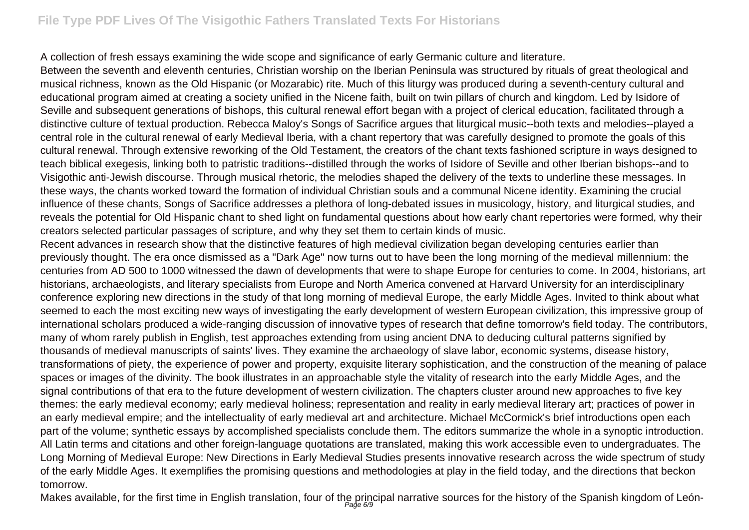## **File Type PDF Lives Of The Visigothic Fathers Translated Texts For Historians**

A collection of fresh essays examining the wide scope and significance of early Germanic culture and literature.

Between the seventh and eleventh centuries, Christian worship on the Iberian Peninsula was structured by rituals of great theological and musical richness, known as the Old Hispanic (or Mozarabic) rite. Much of this liturgy was produced during a seventh-century cultural and educational program aimed at creating a society unified in the Nicene faith, built on twin pillars of church and kingdom. Led by Isidore of Seville and subsequent generations of bishops, this cultural renewal effort began with a project of clerical education, facilitated through a distinctive culture of textual production. Rebecca Maloy's Songs of Sacrifice argues that liturgical music--both texts and melodies--played a central role in the cultural renewal of early Medieval Iberia, with a chant repertory that was carefully designed to promote the goals of this cultural renewal. Through extensive reworking of the Old Testament, the creators of the chant texts fashioned scripture in ways designed to teach biblical exegesis, linking both to patristic traditions--distilled through the works of Isidore of Seville and other Iberian bishops--and to Visigothic anti-Jewish discourse. Through musical rhetoric, the melodies shaped the delivery of the texts to underline these messages. In these ways, the chants worked toward the formation of individual Christian souls and a communal Nicene identity. Examining the crucial influence of these chants, Songs of Sacrifice addresses a plethora of long-debated issues in musicology, history, and liturgical studies, and reveals the potential for Old Hispanic chant to shed light on fundamental questions about how early chant repertories were formed, why their creators selected particular passages of scripture, and why they set them to certain kinds of music.

Recent advances in research show that the distinctive features of high medieval civilization began developing centuries earlier than previously thought. The era once dismissed as a "Dark Age" now turns out to have been the long morning of the medieval millennium: the centuries from AD 500 to 1000 witnessed the dawn of developments that were to shape Europe for centuries to come. In 2004, historians, art historians, archaeologists, and literary specialists from Europe and North America convened at Harvard University for an interdisciplinary conference exploring new directions in the study of that long morning of medieval Europe, the early Middle Ages. Invited to think about what seemed to each the most exciting new ways of investigating the early development of western European civilization, this impressive group of international scholars produced a wide-ranging discussion of innovative types of research that define tomorrow's field today. The contributors, many of whom rarely publish in English, test approaches extending from using ancient DNA to deducing cultural patterns signified by thousands of medieval manuscripts of saints' lives. They examine the archaeology of slave labor, economic systems, disease history, transformations of piety, the experience of power and property, exquisite literary sophistication, and the construction of the meaning of palace spaces or images of the divinity. The book illustrates in an approachable style the vitality of research into the early Middle Ages, and the signal contributions of that era to the future development of western civilization. The chapters cluster around new approaches to five key themes: the early medieval economy; early medieval holiness; representation and reality in early medieval literary art; practices of power in an early medieval empire; and the intellectuality of early medieval art and architecture. Michael McCormick's brief introductions open each part of the volume; synthetic essays by accomplished specialists conclude them. The editors summarize the whole in a synoptic introduction. All Latin terms and citations and other foreign-language quotations are translated, making this work accessible even to undergraduates. The Long Morning of Medieval Europe: New Directions in Early Medieval Studies presents innovative research across the wide spectrum of study of the early Middle Ages. It exemplifies the promising questions and methodologies at play in the field today, and the directions that beckon tomorrow.

Makes available, for the first time in English translation, four of the principal narrative sources for the history of the Spanish kingdom of León-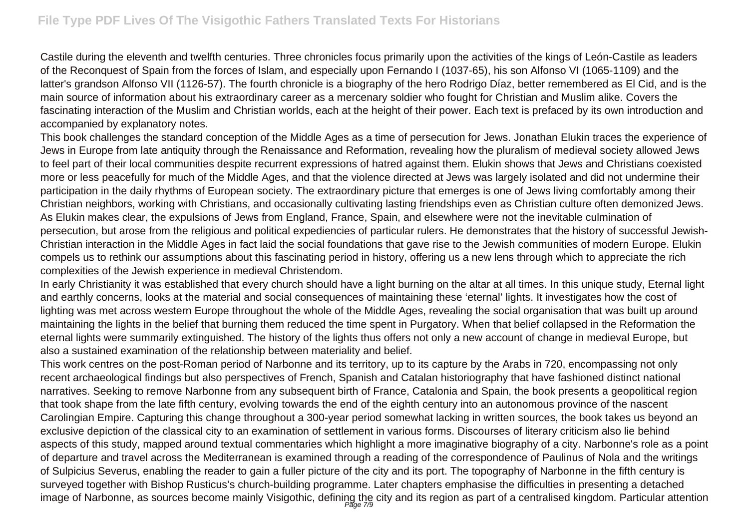Castile during the eleventh and twelfth centuries. Three chronicles focus primarily upon the activities of the kings of León-Castile as leaders of the Reconquest of Spain from the forces of Islam, and especially upon Fernando I (1037-65), his son Alfonso VI (1065-1109) and the latter's grandson Alfonso VII (1126-57). The fourth chronicle is a biography of the hero Rodrigo Díaz, better remembered as El Cid, and is the main source of information about his extraordinary career as a mercenary soldier who fought for Christian and Muslim alike. Covers the fascinating interaction of the Muslim and Christian worlds, each at the height of their power. Each text is prefaced by its own introduction and accompanied by explanatory notes.

This book challenges the standard conception of the Middle Ages as a time of persecution for Jews. Jonathan Elukin traces the experience of Jews in Europe from late antiquity through the Renaissance and Reformation, revealing how the pluralism of medieval society allowed Jews to feel part of their local communities despite recurrent expressions of hatred against them. Elukin shows that Jews and Christians coexisted more or less peacefully for much of the Middle Ages, and that the violence directed at Jews was largely isolated and did not undermine their participation in the daily rhythms of European society. The extraordinary picture that emerges is one of Jews living comfortably among their Christian neighbors, working with Christians, and occasionally cultivating lasting friendships even as Christian culture often demonized Jews. As Elukin makes clear, the expulsions of Jews from England, France, Spain, and elsewhere were not the inevitable culmination of persecution, but arose from the religious and political expediencies of particular rulers. He demonstrates that the history of successful Jewish-Christian interaction in the Middle Ages in fact laid the social foundations that gave rise to the Jewish communities of modern Europe. Elukin compels us to rethink our assumptions about this fascinating period in history, offering us a new lens through which to appreciate the rich complexities of the Jewish experience in medieval Christendom.

In early Christianity it was established that every church should have a light burning on the altar at all times. In this unique study, Eternal light and earthly concerns, looks at the material and social consequences of maintaining these 'eternal' lights. It investigates how the cost of lighting was met across western Europe throughout the whole of the Middle Ages, revealing the social organisation that was built up around maintaining the lights in the belief that burning them reduced the time spent in Purgatory. When that belief collapsed in the Reformation the eternal lights were summarily extinguished. The history of the lights thus offers not only a new account of change in medieval Europe, but also a sustained examination of the relationship between materiality and belief.

This work centres on the post-Roman period of Narbonne and its territory, up to its capture by the Arabs in 720, encompassing not only recent archaeological findings but also perspectives of French, Spanish and Catalan historiography that have fashioned distinct national narratives. Seeking to remove Narbonne from any subsequent birth of France, Catalonia and Spain, the book presents a geopolitical region that took shape from the late fifth century, evolving towards the end of the eighth century into an autonomous province of the nascent Carolingian Empire. Capturing this change throughout a 300-year period somewhat lacking in written sources, the book takes us beyond an exclusive depiction of the classical city to an examination of settlement in various forms. Discourses of literary criticism also lie behind aspects of this study, mapped around textual commentaries which highlight a more imaginative biography of a city. Narbonne's role as a point of departure and travel across the Mediterranean is examined through a reading of the correspondence of Paulinus of Nola and the writings of Sulpicius Severus, enabling the reader to gain a fuller picture of the city and its port. The topography of Narbonne in the fifth century is surveyed together with Bishop Rusticus's church-building programme. Later chapters emphasise the difficulties in presenting a detached image of Narbonne, as sources become mainly Visigothic, defining the city and its region as part of a centralised kingdom. Particular attention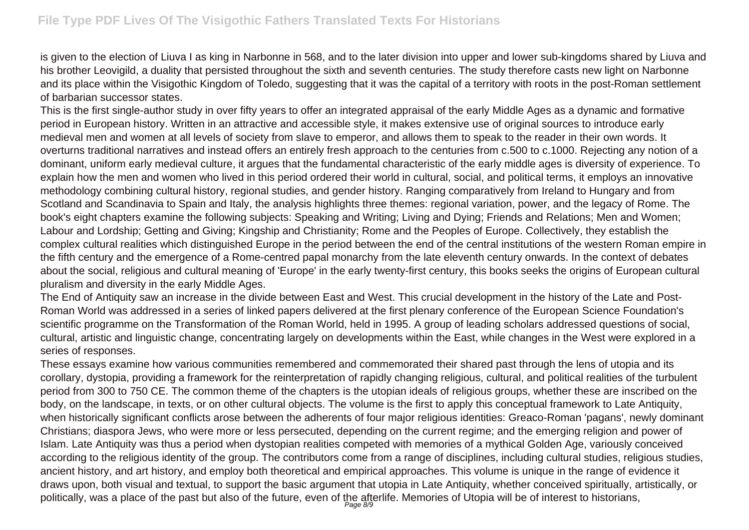is given to the election of Liuva I as king in Narbonne in 568, and to the later division into upper and lower sub-kingdoms shared by Liuva and his brother Leovigild, a duality that persisted throughout the sixth and seventh centuries. The study therefore casts new light on Narbonne and its place within the Visigothic Kingdom of Toledo, suggesting that it was the capital of a territory with roots in the post-Roman settlement of barbarian successor states.

This is the first single-author study in over fifty years to offer an integrated appraisal of the early Middle Ages as a dynamic and formative period in European history. Written in an attractive and accessible style, it makes extensive use of original sources to introduce early medieval men and women at all levels of society from slave to emperor, and allows them to speak to the reader in their own words. It overturns traditional narratives and instead offers an entirely fresh approach to the centuries from c.500 to c.1000. Rejecting any notion of a dominant, uniform early medieval culture, it argues that the fundamental characteristic of the early middle ages is diversity of experience. To explain how the men and women who lived in this period ordered their world in cultural, social, and political terms, it employs an innovative methodology combining cultural history, regional studies, and gender history. Ranging comparatively from Ireland to Hungary and from Scotland and Scandinavia to Spain and Italy, the analysis highlights three themes: regional variation, power, and the legacy of Rome. The book's eight chapters examine the following subjects: Speaking and Writing; Living and Dying; Friends and Relations; Men and Women; Labour and Lordship; Getting and Giving; Kingship and Christianity; Rome and the Peoples of Europe. Collectively, they establish the complex cultural realities which distinguished Europe in the period between the end of the central institutions of the western Roman empire in the fifth century and the emergence of a Rome-centred papal monarchy from the late eleventh century onwards. In the context of debates about the social, religious and cultural meaning of 'Europe' in the early twenty-first century, this books seeks the origins of European cultural pluralism and diversity in the early Middle Ages.

The End of Antiquity saw an increase in the divide between East and West. This crucial development in the history of the Late and Post-Roman World was addressed in a series of linked papers delivered at the first plenary conference of the European Science Foundation's scientific programme on the Transformation of the Roman World, held in 1995. A group of leading scholars addressed questions of social, cultural, artistic and linguistic change, concentrating largely on developments within the East, while changes in the West were explored in a series of responses.

These essays examine how various communities remembered and commemorated their shared past through the lens of utopia and its corollary, dystopia, providing a framework for the reinterpretation of rapidly changing religious, cultural, and political realities of the turbulent period from 300 to 750 CE. The common theme of the chapters is the utopian ideals of religious groups, whether these are inscribed on the body, on the landscape, in texts, or on other cultural objects. The volume is the first to apply this conceptual framework to Late Antiquity, when historically significant conflicts arose between the adherents of four major religious identities: Greaco-Roman 'pagans', newly dominant Christians; diaspora Jews, who were more or less persecuted, depending on the current regime; and the emerging religion and power of Islam. Late Antiquity was thus a period when dystopian realities competed with memories of a mythical Golden Age, variously conceived according to the religious identity of the group. The contributors come from a range of disciplines, including cultural studies, religious studies, ancient history, and art history, and employ both theoretical and empirical approaches. This volume is unique in the range of evidence it draws upon, both visual and textual, to support the basic argument that utopia in Late Antiquity, whether conceived spiritually, artistically, or politically, was a place of the past but also of the future, even of the afterlife. Memories of Utopia will be of interest to historians,